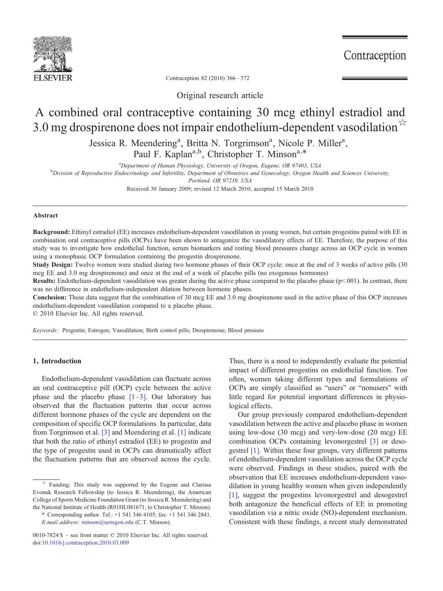

Contraception

Contraception 82 (2010) 366–372

Original research article

# A combined oral contraceptive containing 30 mcg ethinyl estradiol and 3.0 mg drospirenone does not impair endothelium-dependent vasodilation  $\mathbb{X}$

Jessica R. Meendering<sup>a</sup>, Britta N. Torgrimson<sup>a</sup>, Nicole P. Miller<sup>a</sup>, Paul F. Kaplan<sup>a,b</sup>, Christopher T. Minson<sup>a,\*</sup>

<sup>a</sup> Department of Human Physiology, University of Oregon, Eugene, OR 97403, USA<br><sup>b</sup> Division of Parya ductive Endogrinology and Informition, Department of Obstatries and Cynesselson, Oregon Has

<sup>b</sup>Division of Reproductive Endocrinology and Infertility, Department of Obstetrics and Gynecology, Oregon Health and Sciences University,

Portland, OR 97239, USA

Received 30 January 2009; revised 12 March 2010; accepted 15 March 2010

#### Abstract

Background: Ethinyl estradiol (EE) increases endothelium-dependent vasodilation in young women, but certain progestins paired with EE in combination oral contraceptive pills (OCPs) have been shown to antagonize the vasodilatory effects of EE. Therefore, the purpose of this study was to investigate how endothelial function, serum biomarkers and resting blood pressures change across an OCP cycle in women using a monophasic OCP formulation containing the progestin drospirenone.

Study Design: Twelve women were studied during two hormone phases of their OCP cycle: once at the end of 3 weeks of active pills (30 mcg EE and 3.0 mg drospirenone) and once at the end of a week of placebo pills (no exogenous hormones)

Results: Endothelium-dependent vasodilation was greater during the active phase compared to the placebo phase ( $p<.001$ ). In contrast, there was no difference in endothelium-independent dilation between hormone phases.

Conclusion: These data suggest that the combination of 30 mcg EE and 3.0 mg drospirenone used in the active phase of this OCP increases endothelium-dependent vasodilation compared to a placebo phase.

© 2010 Elsevier Inc. All rights reserved.

Keywords: Progestin; Estrogen; Vasodilation; Birth control pills; Drospirenone; Blood pressure

## 1. Introduction

Endothelium-dependent vasodilation can fluctuate across an oral contraceptive pill (OCP) cycle between the active phase and the placebo phase  $[1-3]$  $[1-3]$ . Our laboratory has observed that the fluctuation patterns that occur across different hormone phases of the cycle are dependent on the composition of specific OCP formulations. In particular, data from Torgrimson et al. [\[3\]](#page-5-0) and Meendering et al. [\[1\]](#page-4-0) indicate that both the ratio of ethinyl estradiol (EE) to progestin and the type of progestin used in OCPs can dramatically affect the fluctuation patterns that are observed across the cycle.

Thus, there is a need to independently evaluate the potential impact of different progestins on endothelial function. Too often, women taking different types and formulations of OCPs are simply classified as "users" or "nonusers" with little regard for potential important differences in physiological effects.

Our group previously compared endothelium-dependent vasodilation between the active and placebo phase in women using low-dose (30 mcg) and very-low-dose (20 mcg) EE combination OCPs containing levonorgestrel [\[3\]](#page-5-0) or desogestrel [\[1\].](#page-4-0) Within these four groups, very different patterns of endothelium-dependent vasodilation across the OCP cycle were observed. Findings in these studies, paired with the observation that EE increases endothelium-dependent vasodilation in young healthy women when given independently [\[1\],](#page-4-0) suggest the progestins levonorgestrel and desogestrel both antagonize the beneficial effects of EE in promoting vasodilation via a nitric oxide (NO)-dependent mechanism. Consistent with these findings, a recent study demonstrated

 $\overrightarrow{r}$  Funding: This study was supported by the Eugene and Clarissa Evonuk Research Fellowship (to Jessica R. Meendering), the American College of Sports Medicine Foundation Grant (to Jessica R. Meendering) and the National Institute of Health (R01HL081671; to Christopher T. Minson).

<sup>⁎</sup> Corresponding author. Tel.: +1 541 346 4105; fax: +1 541 346 2841. E-mail address: [minson@uoregon.edu](mailto:minson@uoregon.edu) (C.T. Minson).

<sup>0010-7824/\$</sup> – see front matter © 2010 Elsevier Inc. All rights reserved. doi[:10.1016/j.contraception.2010.03.009](http://dx.doi.org/10.1016/j.contraception.2010.03.009)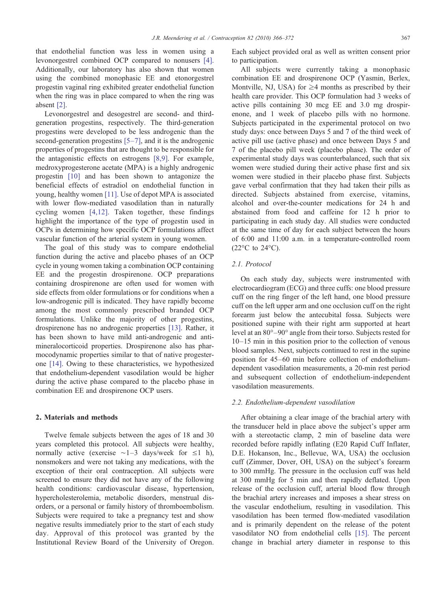that endothelial function was less in women using a levonorgestrel combined OCP compared to nonusers [\[4\]](#page-5-0). Additionally, our laboratory has also shown that women using the combined monophasic EE and etonorgestrel progestin vaginal ring exhibited greater endothelial function when the ring was in place compared to when the ring was absent [\[2\].](#page-4-0)

Levonorgestrel and desogestrel are second- and thirdgeneration progestins, respectively. The third-generation progestins were developed to be less androgenic than the second-generation progestins [5–[7\],](#page-5-0) and it is the androgenic properties of progestins that are thought to be responsible for the antagonistic effects on estrogens [\[8,9\].](#page-5-0) For example, medroxyprogesterone acetate (MPA) is a highly androgenic progestin [\[10\]](#page-5-0) and has been shown to antagonize the beneficial effects of estradiol on endothelial function in young, healthy women [\[11\].](#page-5-0) Use of depot MPA is associated with lower flow-mediated vasodilation than in naturally cycling women [\[4,12\]](#page-5-0). Taken together, these findings highlight the importance of the type of progestin used in OCPs in determining how specific OCP formulations affect vascular function of the arterial system in young women.

The goal of this study was to compare endothelial function during the active and placebo phases of an OCP cycle in young women taking a combination OCP containing EE and the progestin drospirenone. OCP preparations containing drospirenone are often used for women with side effects from older formulations or for conditions when a low-androgenic pill is indicated. They have rapidly become among the most commonly prescribed branded OCP formulations. Unlike the majority of other progestins, drospirenone has no androgenic properties [\[13\]](#page-5-0). Rather, it has been shown to have mild anti-androgenic and antimineralocorticoid properties. Drospirenone also has pharmocodynamic properties similar to that of native progesterone [\[14\].](#page-5-0) Owing to these characteristics, we hypothesized that endothelium-dependent vasodilation would be higher during the active phase compared to the placebo phase in combination EE and drospirenone OCP users.

# 2. Materials and methods

Twelve female subjects between the ages of 18 and 30 years completed this protocol. All subjects were healthy, normally active (exercise  $\sim$ 1–3 days/week for ≤1 h), nonsmokers and were not taking any medications, with the exception of their oral contraception. All subjects were screened to ensure they did not have any of the following health conditions: cardiovascular disease, hypertension, hypercholesterolemia, metabolic disorders, menstrual disorders, or a personal or family history of thromboembolism. Subjects were required to take a pregnancy test and show negative results immediately prior to the start of each study day. Approval of this protocol was granted by the Institutional Review Board of the University of Oregon.

Each subject provided oral as well as written consent prior to participation.

All subjects were currently taking a monophasic combination EE and drospirenone OCP (Yasmin, Berlex, Montville, NJ, USA) for  $\geq$ 4 months as prescribed by their health care provider. This OCP formulation had 3 weeks of active pills containing 30 mcg EE and 3.0 mg drospirenone, and 1 week of placebo pills with no hormone. Subjects participated in the experimental protocol on two study days: once between Days 5 and 7 of the third week of active pill use (active phase) and once between Days 5 and 7 of the placebo pill week (placebo phase). The order of experimental study days was counterbalanced, such that six women were studied during their active phase first and six women were studied in their placebo phase first. Subjects gave verbal confirmation that they had taken their pills as directed. Subjects abstained from exercise, vitamins, alcohol and over-the-counter medications for 24 h and abstained from food and caffeine for 12 h prior to participating in each study day. All studies were conducted at the same time of day for each subject between the hours of 6:00 and 11:00 a.m. in a temperature-controlled room  $(22^{\circ}C \text{ to } 24^{\circ}C).$ 

## 2.1. Protocol

On each study day, subjects were instrumented with electrocardiogram (ECG) and three cuffs: one blood pressure cuff on the ring finger of the left hand, one blood pressure cuff on the left upper arm and one occlusion cuff on the right forearm just below the antecubital fossa. Subjects were positioned supine with their right arm supported at heart level at an 80°–90° angle from their torso. Subjects rested for 10–15 min in this position prior to the collection of venous blood samples. Next, subjects continued to rest in the supine position for 45–60 min before collection of endotheliumdependent vasodilation measurements, a 20-min rest period and subsequent collection of endothelium-independent vasodilation measurements.

#### 2.2. Endothelium-dependent vasodilation

After obtaining a clear image of the brachial artery with the transducer held in place above the subject's upper arm with a stereotactic clamp, 2 min of baseline data were recorded before rapidly inflating (E20 Rapid Cuff Inflater, D.E. Hokanson, Inc., Bellevue, WA, USA) the occlusion cuff (Zimmer, Dover, OH, USA) on the subject's forearm to 300 mmHg. The pressure in the occlusion cuff was held at 300 mmHg for 5 min and then rapidly deflated. Upon release of the occlusion cuff, arterial blood flow through the brachial artery increases and imposes a shear stress on the vascular endothelium, resulting in vasodilation. This vasodilation has been termed flow-mediated vasodilation and is primarily dependent on the release of the potent vasodilator NO from endothelial cells [\[15\].](#page-5-0) The percent change in brachial artery diameter in response to this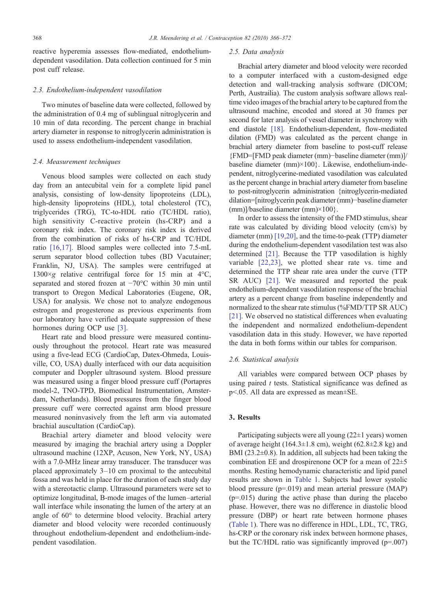reactive hyperemia assesses flow-mediated, endotheliumdependent vasodilation. Data collection continued for 5 min post cuff release.

#### 2.3. Endothelium-independent vasodilation

Two minutes of baseline data were collected, followed by the administration of 0.4 mg of sublingual nitroglycerin and 10 min of data recording. The percent change in brachial artery diameter in response to nitroglycerin administration is used to assess endothelium-independent vasodilation.

## 2.4. Measurement techniques

Venous blood samples were collected on each study day from an antecubital vein for a complete lipid panel analysis, consisting of low-density lipoproteins (LDL), high-density lipoproteins (HDL), total cholesterol (TC), triglycerides (TRG), TC-to-HDL ratio (TC/HDL ratio), high sensitivity C-reactive protein (hs-CRP) and a coronary risk index. The coronary risk index is derived from the combination of risks of hs-CRP and TC/HDL ratio [\[16,17\].](#page-5-0) Blood samples were collected into 7.5-mL serum separator blood collection tubes (BD Vacutainer; Franklin, NJ, USA). The samples were centrifuged at  $1300 \times g$  relative centrifugal force for 15 min at 4°C, separated and stored frozen at −70°C within 30 min until transport to Oregon Medical Laboratories (Eugene, OR, USA) for analysis. We chose not to analyze endogenous estrogen and progesterone as previous experiments from our laboratory have verified adequate suppression of these hormones during OCP use [\[3\]](#page-5-0).

Heart rate and blood pressure were measured continuously throughout the protocol. Heart rate was measured using a five-lead ECG (CardioCap, Datex-Ohmeda, Louisville, CO, USA) dually interfaced with our data acquisition computer and Doppler ultrasound system. Blood pressure was measured using a finger blood pressure cuff (Portapres model-2, TNO-TPD, Biomedical Instrumentation, Amsterdam, Netherlands). Blood pressures from the finger blood pressure cuff were corrected against arm blood pressure measured noninvasively from the left arm via automated brachial auscultation (CardioCap).

Brachial artery diameter and blood velocity were measured by imaging the brachial artery using a Doppler ultrasound machine (12XP, Acuson, New York, NY, USA) with a 7.0-MHz linear array transducer. The transducer was placed approximately 3–10 cm proximal to the antecubital fossa and was held in place for the duration of each study day with a stereotactic clamp. Ultrasound parameters were set to optimize longitudinal, B-mode images of the lumen–arterial wall interface while insonating the lumen of the artery at an angle of 60° to determine blood velocity. Brachial artery diameter and blood velocity were recorded continuously throughout endothelium-dependent and endothelium-independent vasodilation.

#### 2.5. Data analysis

Brachial artery diameter and blood velocity were recorded to a computer interfaced with a custom-designed edge detection and wall-tracking analysis software (DICOM; Perth, Austrailia). The custom analysis software allows realtime video images of the brachial artery to be captured from the ultrasound machine, encoded and stored at 30 frames per second for later analysis of vessel diameter in synchrony with end diastole [\[18\]](#page-5-0). Endothelium-dependent, flow-mediated dilation (FMD) was calculated as the percent change in brachial artery diameter from baseline to post-cuff release {FMD=[FMD peak diameter (mm)−baseline diameter (mm)]/ baseline diameter (mm)×100}. Likewise, endothelium-independent, nitroglycerine-mediated vasodilation was calculated as the percent change in brachial artery diameter from baseline to post-nitroglycerin administration {nitroglycerin-mediated dilation=[nitroglycerin peak diameter (mm)−baseline diameter (mm)]/baseline diameter (mm)×100}.

In order to assess the intensity of the FMD stimulus, shear rate was calculated by dividing blood velocity (cm/s) by diameter (mm) [\[19,20\],](#page-5-0) and the time-to-peak (TTP) diameter during the endothelium-dependent vasodilation test was also determined [\[21\].](#page-5-0) Because the TTP vasodilation is highly variable [\[22,23\]](#page-5-0), we plotted shear rate vs. time and determined the TTP shear rate area under the curve (TTP SR AUC) [\[21\]](#page-5-0). We measured and reported the peak endothelium-dependent vasodilation response of the brachial artery as a percent change from baseline independently and normalized to the shear rate stimulus (%FMD/TTP SR AUC) [\[21\]](#page-5-0). We observed no statistical differences when evaluating the independent and normalized endothelium-dependent vasodilation data in this study. However, we have reported the data in both forms within our tables for comparison.

#### 2.6. Statistical analysis

All variables were compared between OCP phases by using paired  $t$  tests. Statistical significance was defined as  $p$ <.05. All data are expressed as mean $\pm$ SE.

## 3. Results

Participating subjects were all young  $(22 \pm 1 \text{ years})$  women of average height (164.3 $\pm$ 1.8 cm), weight (62.8 $\pm$ 2.8 kg) and BMI (23.2 $\pm$ 0.8). In addition, all subjects had been taking the combination EE and drospirenone OCP for a mean of  $22\pm5$ months. Resting hemodynamic characteristic and lipid panel results are shown in [Table 1.](#page-3-0) Subjects had lower systolic blood pressure (p=.019) and mean arterial pressure (MAP) (p=.015) during the active phase than during the placebo phase. However, there was no difference in diastolic blood pressure (DBP) or heart rate between hormone phases [\(Table 1](#page-3-0)). There was no difference in HDL, LDL, TC, TRG, hs-CRP or the coronary risk index between hormone phases, but the TC/HDL ratio was significantly improved  $(p=.007)$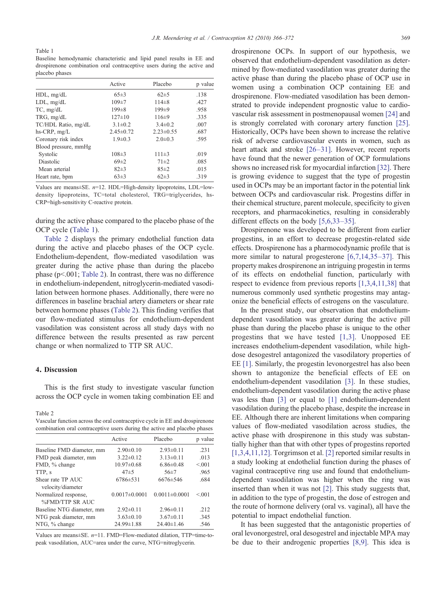<span id="page-3-0"></span>Table 1 Baseline hemodynamic characteristic and lipid panel results in EE and drospirenone combination oral contraceptive users during the active and placebo phases

|                      | Active          | Placebo         | p value |
|----------------------|-----------------|-----------------|---------|
| HDL, mg/dL           | $65\pm3$        | $62\pm5$        | .138    |
| $LDL$ , mg/d $L$     | $109 + 7$       | $114\pm8$       | .427    |
| $TC$ , mg/dL         | $199 \pm 8$     | 199±9           | .958    |
| TRG, mg/dL           | $127 \pm 10$    | $116+9$         | .335    |
| TC/HDL Ratio, mg/dL  | $3.1 \pm 0.2$   | $3.4 \pm 0.2$   | .007    |
| $hs-CRP, mg/L$       | $2.45 \pm 0.72$ | $2.23 \pm 0.55$ | .687    |
| Coronary risk index  | $1.9 \pm 0.3$   | $2.0 \pm 0.3$   | .595    |
| Blood pressure, mmHg |                 |                 |         |
| Systolic             | $108 \pm 3$     | $111 \pm 3$     | .019    |
| Diastolic            | $69 \pm 2$      | $71 + 2$        | .085    |
| Mean arterial        | $82+3$          | $85 \pm 2$      | .015    |
| Heart rate, bpm      | $63\pm3$        | $62\pm3$        | .319    |
|                      |                 |                 |         |

Values are means $\pm$ SE.  $n=12$ . HDL=High-density lipoproteins, LDL=lowdensity lipoproteins, TC=total cholesterol, TRG=triglycerides, hs-CRP=high-sensitivity C-reactive protein.

during the active phase compared to the placebo phase of the OCP cycle (Table 1).

Table 2 displays the primary endothelial function data during the active and placebo phases of the OCP cycle. Endothelium-dependent, flow-mediated vasodilation was greater during the active phase than during the placebo phase ( $p$ <.001; Table 2). In contrast, there was no difference in endothelium-independent, nitroglycerin-mediated vasodilation between hormone phases. Additionally, there were no differences in baseline brachial artery diameters or shear rate between hormone phases (Table 2). This finding verifies that our flow-mediated stimulus for endothelium-dependent vasodilation was consistent across all study days with no difference between the results presented as raw percent change or when normalized to TTP SR AUC.

## 4. Discussion

This is the first study to investigate vascular function across the OCP cycle in women taking combination EE and

Table 2 Vascular function across the oral contraceptive cycle in EE and drospirenone combination oral contraceptive users during the active and placebo phases

|                                         | Active              | Placebo             | p value |  |
|-----------------------------------------|---------------------|---------------------|---------|--|
| Baseline FMD diameter, mm               | $2.90 \pm 0.10$     | $2.93 \pm 0.11$     | .231    |  |
| FMD peak diameter, mm                   | $3.22 \pm 0.12$     | $3.13 \pm 0.11$     | .013    |  |
| FMD, % change                           | $10.97 \pm 0.68$    | $6.86\pm0.48$       | < 0.01  |  |
| TTP, s                                  | $47 + 5$            | $56\pm7$            | .965    |  |
| Shear rate TP AUC<br>velocity/diameter  | $6786 \pm 531$      | $6676 \pm 546$      | .684    |  |
| Normalized response,<br>%FMD/TTP SR AUC | $0.0017 \pm 0.0001$ | $0.0011 \pm 0.0001$ | < 0.01  |  |
| Baseline NTG diameter, mm               | $2.92 \pm 0.11$     | $2.96\pm0.11$       | .212    |  |
| NTG peak diameter, mm                   | $3.63 \pm 0.10$     | $3.67 \pm 0.11$     | .345    |  |
| NTG, % change                           | 24.99±1.88          | $24.40 \pm 1.46$    | .546    |  |
|                                         |                     |                     |         |  |

Values are means $\pm$ SE.  $n=11$ . FMD=Flow-mediated dilation, TTP=time-topeak vasodilation, AUC=area under the curve, NTG=nitroglycerin.

drospirenone OCPs. In support of our hypothesis, we observed that endothelium-dependent vasodilation as determined by flow-mediated vasodilation was greater during the active phase than during the placebo phase of OCP use in women using a combination OCP containing EE and drospirenone. Flow-mediated vasodilation has been demonstrated to provide independent prognostic value to cardiovascular risk assessment in postmenopausal women [\[24\]](#page-5-0) and is strongly correlated with coronary artery function [\[25\]](#page-5-0). Historically, OCPs have been shown to increase the relative risk of adverse cardiovascular events in women, such as heart attack and stroke [\[26](#page-5-0)–31]. However, recent reports have found that the newer generation of OCP formulations shows no increased risk for myocardial infarction [\[32\]](#page-5-0). There is growing evidence to suggest that the type of progestin used in OCPs may be an important factor in the potential link between OCPs and cardiovascular risk. Progestins differ in their chemical structure, parent molecule, specificity to given receptors, and pharmacokinetics, resulting in considerably different effects on the body [\[5,6,33](#page-5-0)–35].

Drospirenone was developed to be different from earlier progestins, in an effort to decrease progestin-related side effects. Drospirenone has a pharmocodynamic profile that is more similar to natural progesterone [\[6,7,14,35](#page-5-0)–37]. This property makes drospirenone an intriguing progestin in terms of its effects on endothelial function, particularly with respect to evidence from previous reports [\[1,3,4,11,38\]](#page-4-0) that numerous commonly used synthetic progestins may antagonize the beneficial effects of estrogens on the vasculature.

In the present study, our observation that endotheliumdependent vasodilation was greater during the active pill phase than during the placebo phase is unique to the other progestins that we have tested  $[1,3]$ . Unopposed EE increases endothelium-dependent vasodilation, while highdose desogestrel antagonized the vasodilatory properties of EE [\[1\].](#page-4-0) Similarly, the progestin levonorgestrel has also been shown to antagonize the beneficial effects of EE on endothelium-dependent vasodilation [\[3\]](#page-5-0). In these studies, endothelium-dependent vasodilation during the active phase was less than [\[3\]](#page-5-0) or equal to [\[1\]](#page-4-0) endothelium-dependent vasodilation during the placebo phase, despite the increase in EE. Although there are inherent limitations when comparing values of flow-mediated vasodilation across studies, the active phase with drospirenone in this study was substantially higher than that with other types of progestins reported [\[1,3,4,11,12\]](#page-4-0). Torgrimson et al. [\[2\]](#page-4-0) reported similar results in a study looking at endothelial function during the phases of vaginal contraceptive ring use and found that endotheliumdependent vasodilation was higher when the ring was inserted than when it was not [\[2\].](#page-4-0) This study suggests that, in addition to the type of progestin, the dose of estrogen and the route of hormone delivery (oral vs. vaginal), all have the potential to impact endothelial function.

It has been suggested that the antagonistic properties of oral levonorgestrel, oral desogestrel and injectable MPA may be due to their androgenic properties [\[8,9\]](#page-5-0). This idea is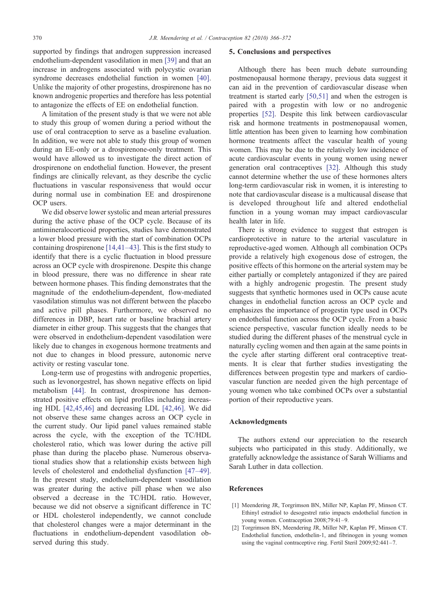<span id="page-4-0"></span>supported by findings that androgen suppression increased endothelium-dependent vasodilation in men [\[39\]](#page-5-0) and that an increase in androgens associated with polycystic ovarian syndrome decreases endothelial function in women [\[40\].](#page-5-0) Unlike the majority of other progestins, drospirenone has no known androgenic properties and therefore has less potential to antagonize the effects of EE on endothelial function.

A limitation of the present study is that we were not able to study this group of women during a period without the use of oral contraception to serve as a baseline evaluation. In addition, we were not able to study this group of women during an EE-only or a drospirenone-only treatment. This would have allowed us to investigate the direct action of drospirenone on endothelial function. However, the present findings are clinically relevant, as they describe the cyclic fluctuations in vascular responsiveness that would occur during normal use in combination EE and drospirenone OCP users.

We did observe lower systolic and mean arterial pressures during the active phase of the OCP cycle. Because of its antimineralocorticoid properties, studies have demonstrated a lower blood pressure with the start of combination OCPs containing drospirenone [\[14,41](#page-5-0)–43]. This is the first study to identify that there is a cyclic fluctuation in blood pressure across an OCP cycle with drospirenone. Despite this change in blood pressure, there was no difference in shear rate between hormone phases. This finding demonstrates that the magnitude of the endothelium-dependent, flow-mediated vasodilation stimulus was not different between the placebo and active pill phases. Furthermore, we observed no differences in DBP, heart rate or baseline brachial artery diameter in either group. This suggests that the changes that were observed in endothelium-dependent vasodilation were likely due to changes in exogenous hormone treatments and not due to changes in blood pressure, autonomic nerve activity or resting vascular tone.

Long-term use of progestins with androgenic properties, such as levonorgestrel, has shown negative effects on lipid metabolism [\[44\].](#page-5-0) In contrast, drospirenone has demonstrated positive effects on lipid profiles including increasing HDL [\[42,45,46\]](#page-5-0) and decreasing LDL [\[42,46\].](#page-5-0) We did not observe these same changes across an OCP cycle in the current study. Our lipid panel values remained stable across the cycle, with the exception of the TC/HDL cholesterol ratio, which was lower during the active pill phase than during the placebo phase. Numerous observational studies show that a relationship exists between high levels of cholesterol and endothelial dysfunction [47–[49\].](#page-6-0) In the present study, endothelium-dependent vasodilation was greater during the active pill phase when we also observed a decrease in the TC/HDL ratio. However, because we did not observe a significant difference in TC or HDL cholesterol independently, we cannot conclude that cholesterol changes were a major determinant in the fluctuations in endothelium-dependent vasodilation observed during this study.

#### 5. Conclusions and perspectives

Although there has been much debate surrounding postmenopausal hormone therapy, previous data suggest it can aid in the prevention of cardiovascular disease when treatment is started early [\[50,51\]](#page-6-0) and when the estrogen is paired with a progestin with low or no androgenic properties [\[52\].](#page-6-0) Despite this link between cardiovascular risk and hormone treatments in postmenopausal women, little attention has been given to learning how combination hormone treatments affect the vascular health of young women. This may be due to the relatively low incidence of acute cardiovascular events in young women using newer generation oral contraceptives [\[32\].](#page-5-0) Although this study cannot determine whether the use of these hormones alters long-term cardiovascular risk in women, it is interesting to note that cardiovascular disease is a multicausal disease that is developed throughout life and altered endothelial function in a young woman may impact cardiovascular health later in life.

There is strong evidence to suggest that estrogen is cardioprotective in nature to the arterial vasculature in reproductive-aged women. Although all combination OCPs provide a relatively high exogenous dose of estrogen, the positive effects of this hormone on the arterial system may be either partially or completely antagonized if they are paired with a highly androgenic progestin. The present study suggests that synthetic hormones used in OCPs cause acute changes in endothelial function across an OCP cycle and emphasizes the importance of progestin type used in OCPs on endothelial function across the OCP cycle. From a basic science perspective, vascular function ideally needs to be studied during the different phases of the menstrual cycle in naturally cycling women and then again at the same points in the cycle after starting different oral contraceptive treatments. It is clear that further studies investigating the differences between progestin type and markers of cardiovascular function are needed given the high percentage of young women who take combined OCPs over a substantial portion of their reproductive years.

## Acknowledgments

The authors extend our appreciation to the research subjects who participated in this study. Additionally, we gratefully acknowledge the assistance of Sarah Williams and Sarah Luther in data collection.

## References

- [1] Meendering JR, Torgrimson BN, Miller NP, Kaplan PF, Minson CT. Ethinyl estradiol to desogestrel ratio impacts endothelial function in young women. Contraception 2008;79:41–9.
- [2] Torgrimson BN, Meendering JR, Miller NP, Kaplan PF, Minson CT. Endothelial function, endothelin-1, and fibrinogen in young women using the vaginal contraceptive ring. Fertil Steril 2009;92:441–7.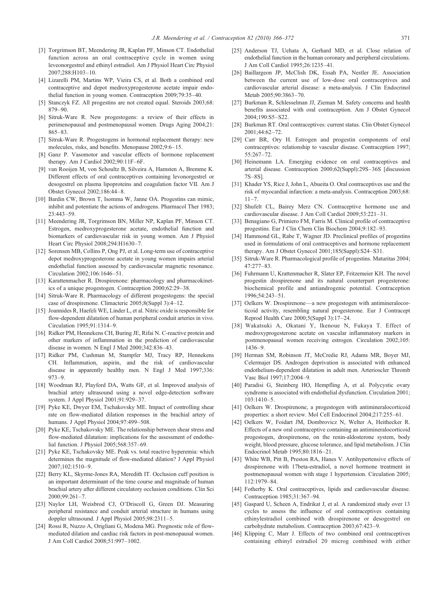- <span id="page-5-0"></span>[3] Torgrimson BT, Meendering JR, Kaplan PF, Minson CT. Endothelial function across an oral contraceptive cycle in women using leveonorgestrel and ethinyl estradiol. Am J Physiol Heart Circ Physiol 2007;288:H103–10.
- [4] Lizarelli PM, Martins WP, Vieira CS, et al. Both a combined oral contraceptive and depot medroxyprogesterone acetate impair endothelial function in young women. Contraception 2009;79:35–40.
- [5] Stanczyk FZ. All progestins are not created equal. Steroids 2003;68: 879–90.
- [6] Sitruk-Ware R. New progestogens: a review of their effects in perimenopausal and postmenopausal women. Drugs Aging 2004;21: 865–83.
- [7] Sitruk-Ware R. Progestogens in hormonal replacement therapy: new molecules, risks, and benefits. Menopause 2002;9:6–15.
- [8] Ganz P. Vasomotor and vascular effects of hormone replacement therapy. Am J Cardiol 2002;90:11F–6F.
- [9] van Rooijen M, von Schoultz B, Silveira A, Hamsten A, Bremme K. Different effects of oral contraceptives containing levonorgestrel or desogestrel on plasma lipoproteins and coagulation factor VII. Am J Obstet Gynecol 2002;186:44–8.
- [10] Bardin CW, Brown T, Isomma W, Janne OA. Progestins can mimic, inhibit and potentiate the actions of androgens. Pharmacol Ther 1983; 23:443–59.
- [11] Meendering JR, Torgrimson BN, Miller NP, Kaplan PF, Minson CT. Estrogen, medroxyprogesterone acetate, endothelial function and biomarkers of cardiovascular risk in young women. Am J Physiol Heart Circ Physiol 2008;294:H1630–7.
- [12] Sorensen MB, Collins P, Ong PJ, et al. Long-term use of contraceptive depot medroxyprogesterone acetate in young women impairs arterial endothelial function assessed by cardiovascular magnetic resonance. Circulation 2002;106:1646–51.
- [13] Karattenmacher R. Drospirenone: pharmacology and pharmacokinetics of a unique progestogen. Contraception 2000;62:29–38.
- [14] Sitruk-Ware R. Pharmacology of different progestogens: the special case of drospirenone. Climacteric 2005;8(Suppl 3):4–12.
- [15] Joannides R, Haefeli WE, Linder L, et al. Nitric oxide is responsible for flow-dependent dilatation of human peripheral conduit arteries in vivo. Circulation 1995;91:1314–9.
- [16] Ridker PM, Hennekens CH, Buring JE, Rifai N. C-reactive protein and other markers of inflammation in the prediction of cardiovascular disease in women. N Engl J Med 2000;342:836–43.
- [17] Ridker PM, Cushman M, Stampfer MJ, Tracy RP, Hennekens CH. Inflammation, aspirin, and the risk of cardiovascular disease in apparently healthy men. N Engl J Med 1997;336: 973–9.
- [18] Woodman RJ, Playford DA, Watts GF, et al. Improved analysis of brachial artery ultrasound using a novel edge-detection software system. J Appl Physiol 2001;91:929–37.
- [19] Pyke KE, Dwyer EM, Tschakovsky ME. Impact of controlling shear rate on flow-mediated dilation responses in the brachial artery of humans. J Appl Physiol 2004;97:499–508.
- [20] Pyke KE, Tschakovsky ME. The relationship between shear stress and flow-mediated dilatation: implications for the assessment of endothelial function. J Physiol 2005;568:357–69.
- [21] Pyke KE, Tschakovsky ME. Peak vs. total reactive hyperemia: which determines the magnitude of flow-mediated dilation? J Appl Physiol 2007;102:1510–9.
- [22] Berry KL, Skyrme-Jones RA, Meredith IT. Occlusion cuff position is an important determinant of the time course and magnitude of human brachial artery after different circulatory occlusion conditions. Clin Sci 2000;99:261–7.
- [23] Naylor LH, Weisbrod CJ, O'Driscoll G, Green DJ. Measuring peripheral resistance and conduit arterial structure in humans using doppler ultrasound. J Appl Physiol 2005;98:2311–5.
- [24] Rossi R, Nuzzo A, Origliani G, Modena MG. Prognostic role of flowmediated dilation and cardiac risk factors in post-menopausal women. J Am Coll Cardiol 2008;51:997–1002.
- [25] Anderson TJ, Uehata A, Gerhard MD, et al. Close relation of endothelial function in the human coronary and peripheral circulations. J Am Coll Cardiol 1995;26:1235–41.
- [26] Baillargeon JP, McClish DK, Essah PA, Nestler JE. Association between the current use of low-dose oral contraceptives and cardiovascular arterial disease: a meta-analysis. J Clin Endocrinol Metab 2005;90:3863–70.
- [27] Burkman R, Schlesselman JJ, Zieman M. Safety concerns and health benefits associated with oral contraception. Am J Obstet Gynecol 2004;190:S5–S22.
- [28] Burkman RT. Oral contraceptives: current status. Clin Obstet Gynecol 2001;44:62–72.
- [29] Carr BR, Ory H. Estrogen and progestin components of oral contraceptives: relationship to vascular disease. Contraception 1997; 55:267–72.
- [30] Heinemann LA. Emerging evidence on oral contraceptives and arterial disease. Contraception 2000;62(Suppl):29S–36S [discussion 7S–8S].
- [31] Khader YS, Rice J, John L, Abueita O. Oral contraceptives use and the risk of myocardial infarction: a meta-analysis. Contraception 2003;68:  $11-7.$
- [32] Shufelt CL, Bairey Merz CN. Contraceptive hormone use and cardiovascular disease. J Am Coll Cardiol 2009;53:221–31.
- [33] Benagiano G, Primiero FM, Farris M. Clinical profile of contraceptive progestins. Eur J Clin Chem Clin Biochem 2004;9:182–93.
- [34] Hammond GL, Rabe T, Wagner JD. Preclinical profiles of progestins used in formulations of oral contraceptives and hormone replacement therapy. Am J Obstet Gynecol 2001;185(Suppl):S24–S31.
- [35] Sitruk-Ware R. Pharmacological profile of progestins. Maturitas 2004; 47:277–83.
- [36] Fuhrmann U, Krattenmacher R, Slater EP, Fritzemeier KH. The novel progestin drospirenone and its natural counterpart progesterone: biochemical profile and antiandrogenic potential. Contraception 1996;54:243–51.
- [37] Oelkers W. Drospirenone—a new progestogen with antimineralocorticoid activity, resembling natural progesterone. Eur J Contracept Reprod Health Care 2000;5(Suppl 3):17–24.
- [38] Wakatsuki A, Okatani Y, Ikenoue N, Fukaya T. Effect of medroxyprogesterone acetate on vascular inflammatory markers in postmenopausal women receiving estrogen. Circulation 2002;105: 1436–9.
- [39] Herman SM, Robinson JT, McCredie RJ, Adams MR, Boyer MJ, Celermajer DS. Androgen deprivation is associated with enhanced endothelium-dependent dilatation in adult men. Arterioscler Thromb Vasc Biol 1997;17:2004–9.
- [40] Paradisi G, Steinberg HO, Hempfling A, et al. Polycystic ovary syndrome is associated with endothelial dysfunction. Circulation 2001; 103:1410–5.
- [41] Oelkers W. Drospirenone, a progestogen with antimineralocorticoid properties: a short review. Mol Cell Endocrinol 2004;217:255–61.
- [42] Oelkers W, Foidart JM, Dombrovicz N, Welter A, Heithecker R. Effects of a new oral contraceptive containing an antimineralocorticoid progestogen, drospirenone, on the renin-aldosterone system, body weight, blood pressure, glucose tolerance, and lipid metabolism. J Clin Endocrinol Metab 1995;80:1816–21.
- [43] White WB, Pitt B, Preston RA, Hanes V. Antihypertensive effects of drospirenone with 17beta-estradiol, a novel hormone treatment in postmenopausal women with stage 1 hypertension. Circulation 2005; 112:1979–84.
- [44] Fotherby K. Oral contraceptives, lipids and cardiovascular disease. Contraception 1985;31:367–94.
- [45] Gaspard U, Scheen A, Endrikat J, et al. A randomized study over 13 cycles to assess the influence of oral contraceptives containing ethinylestradiol combined with drospirenone or desogestrel on carbohydrate metabolism. Contraception 2003;67:423–9.
- [46] Klipping C, Marr J. Effects of two combined oral contraceptives containing ethinyl estradiol 20 microg combined with either